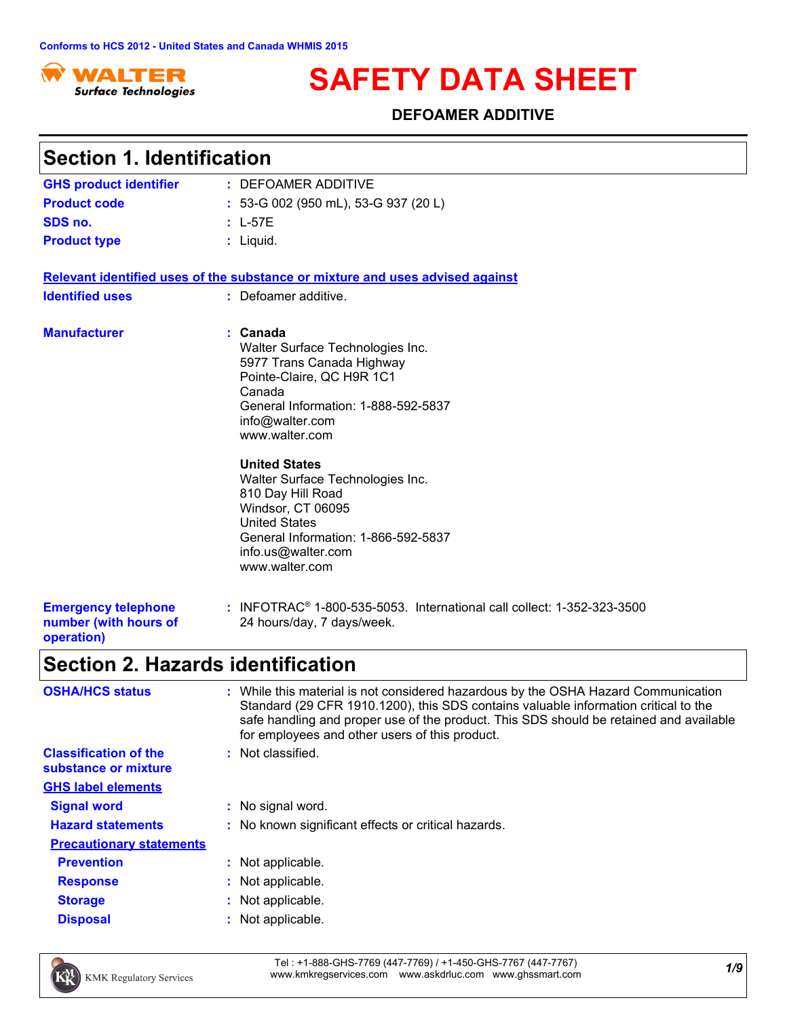

# **SAFETY DATA SHEET**

### **DEFOAMER ADDITIVE**

| <b>Section 1. Identification</b>                                  |                                                                                                                                                                                                                                                                                                                            |
|-------------------------------------------------------------------|----------------------------------------------------------------------------------------------------------------------------------------------------------------------------------------------------------------------------------------------------------------------------------------------------------------------------|
| <b>GHS product identifier</b>                                     | : DEFOAMER ADDITIVE                                                                                                                                                                                                                                                                                                        |
| <b>Product code</b>                                               | : 53-G 002 (950 mL), 53-G 937 (20 L)                                                                                                                                                                                                                                                                                       |
| SDS no.                                                           | $: L-57E$                                                                                                                                                                                                                                                                                                                  |
| <b>Product type</b>                                               | $:$ Liquid.                                                                                                                                                                                                                                                                                                                |
|                                                                   | Relevant identified uses of the substance or mixture and uses advised against                                                                                                                                                                                                                                              |
| <b>Identified uses</b>                                            | : Defoamer additive.                                                                                                                                                                                                                                                                                                       |
| <b>Manufacturer</b>                                               | : Canada<br>Walter Surface Technologies Inc.<br>5977 Trans Canada Highway<br>Pointe-Claire, QC H9R 1C1<br>Canada<br>General Information: 1-888-592-5837<br>info@walter.com<br>www.walter.com<br><b>United States</b><br>Walter Surface Technologies Inc.<br>810 Day Hill Road<br>Windsor, CT 06095<br><b>United States</b> |
| <b>Emergency telephone</b><br>number (with hours of<br>operation) | General Information: 1-866-592-5837<br>info.us@walter.com<br>www.walter.com<br>: INFOTRAC <sup>®</sup> 1-800-535-5053. International call collect: 1-352-323-3500<br>24 hours/day, 7 days/week.                                                                                                                            |
| <b>Section 2. Hazards identification</b>                          |                                                                                                                                                                                                                                                                                                                            |
| <b>OSHA/HCS status</b>                                            | : While this material is not considered hazardous by the OSHA Hazard Communication<br>Standard (29 CFR 1910.1200), this SDS contains valuable information critical to the<br>safe handling and proper use of the product. This SDS should be retained and available<br>for employees and other users of this product.      |
| <b>Classification of the</b><br>substance or mixture              | : Not classified.                                                                                                                                                                                                                                                                                                          |
| <b>GHS label elements</b>                                         |                                                                                                                                                                                                                                                                                                                            |
| <b>Signal word</b>                                                | : No signal word.                                                                                                                                                                                                                                                                                                          |
| <b>Hazard statements</b>                                          | : No known significant effects or critical hazards.                                                                                                                                                                                                                                                                        |
| <b>Precautionary statements</b>                                   |                                                                                                                                                                                                                                                                                                                            |
| <b>Prevention</b>                                                 | : Not applicable.                                                                                                                                                                                                                                                                                                          |
| <b>Response</b>                                                   | Not applicable.                                                                                                                                                                                                                                                                                                            |

- **Storage :** Not applicable.
- **Disposal :** Not applicable.



*1/9* Tel : +1-888-GHS-7769 (447-7769) / +1-450-GHS-7767 (447-7767) www.kmkregservices.com www.askdrluc.com www.ghssmart.com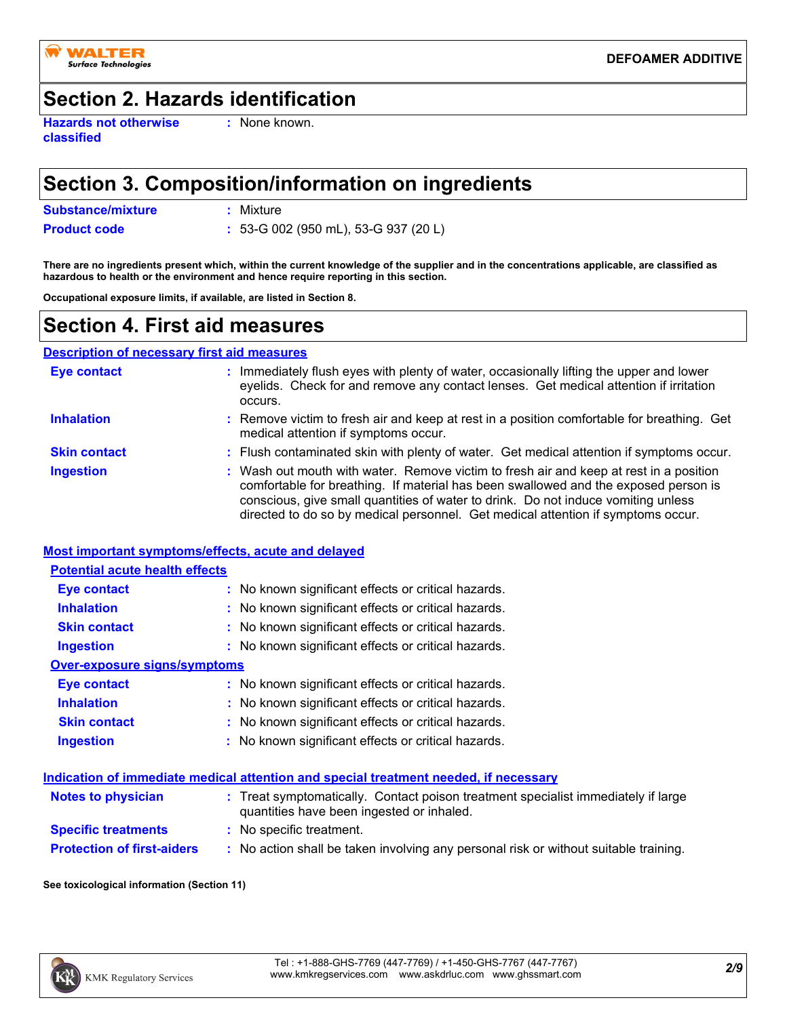

### **Section 2. Hazards identification**

**Hazards not otherwise classified**

**:** None known.

### **Section 3. Composition/information on ingredients**

**Substance/mixture :** Mixture

**Product code :** 53-G 002 (950 mL), 53-G 937 (20 L)

**There are no ingredients present which, within the current knowledge of the supplier and in the concentrations applicable, are classified as hazardous to health or the environment and hence require reporting in this section.**

**Occupational exposure limits, if available, are listed in Section 8.**

### **Section 4. First aid measures**

#### **Description of necessary first aid measures**

| <b>Eye contact</b>  | Immediately flush eyes with plenty of water, occasionally lifting the upper and lower<br>eyelids. Check for and remove any contact lenses. Get medical attention if irritation<br>occurs.                                                                                                                                                              |
|---------------------|--------------------------------------------------------------------------------------------------------------------------------------------------------------------------------------------------------------------------------------------------------------------------------------------------------------------------------------------------------|
| <b>Inhalation</b>   | : Remove victim to fresh air and keep at rest in a position comfortable for breathing. Get<br>medical attention if symptoms occur.                                                                                                                                                                                                                     |
| <b>Skin contact</b> | : Flush contaminated skin with plenty of water. Get medical attention if symptoms occur.                                                                                                                                                                                                                                                               |
| <b>Ingestion</b>    | : Wash out mouth with water. Remove victim to fresh air and keep at rest in a position<br>comfortable for breathing. If material has been swallowed and the exposed person is<br>conscious, give small quantities of water to drink. Do not induce vomiting unless<br>directed to do so by medical personnel. Get medical attention if symptoms occur. |

#### **Most important symptoms/effects, acute and delayed**

| <b>Potential acute health effects</b> |                                                     |
|---------------------------------------|-----------------------------------------------------|
| <b>Eye contact</b>                    | : No known significant effects or critical hazards. |
| <b>Inhalation</b>                     | : No known significant effects or critical hazards. |
| <b>Skin contact</b>                   | : No known significant effects or critical hazards. |
| <b>Ingestion</b>                      | : No known significant effects or critical hazards. |
| Over-exposure signs/symptoms          |                                                     |
| Eye contact                           | : No known significant effects or critical hazards. |
| <b>Inhalation</b>                     | : No known significant effects or critical hazards. |
| <b>Skin contact</b>                   | : No known significant effects or critical hazards. |
| <b>Ingestion</b>                      | : No known significant effects or critical hazards. |

#### **Indication of immediate medical attention and special treatment needed, if necessary**

| <b>Notes to physician</b>         | : Treat symptomatically. Contact poison treatment specialist immediately if large<br>quantities have been ingested or inhaled. |
|-----------------------------------|--------------------------------------------------------------------------------------------------------------------------------|
| <b>Specific treatments</b>        | : No specific treatment.                                                                                                       |
| <b>Protection of first-aiders</b> | No action shall be taken involving any personal risk or without suitable training.                                             |

**See toxicological information (Section 11)**

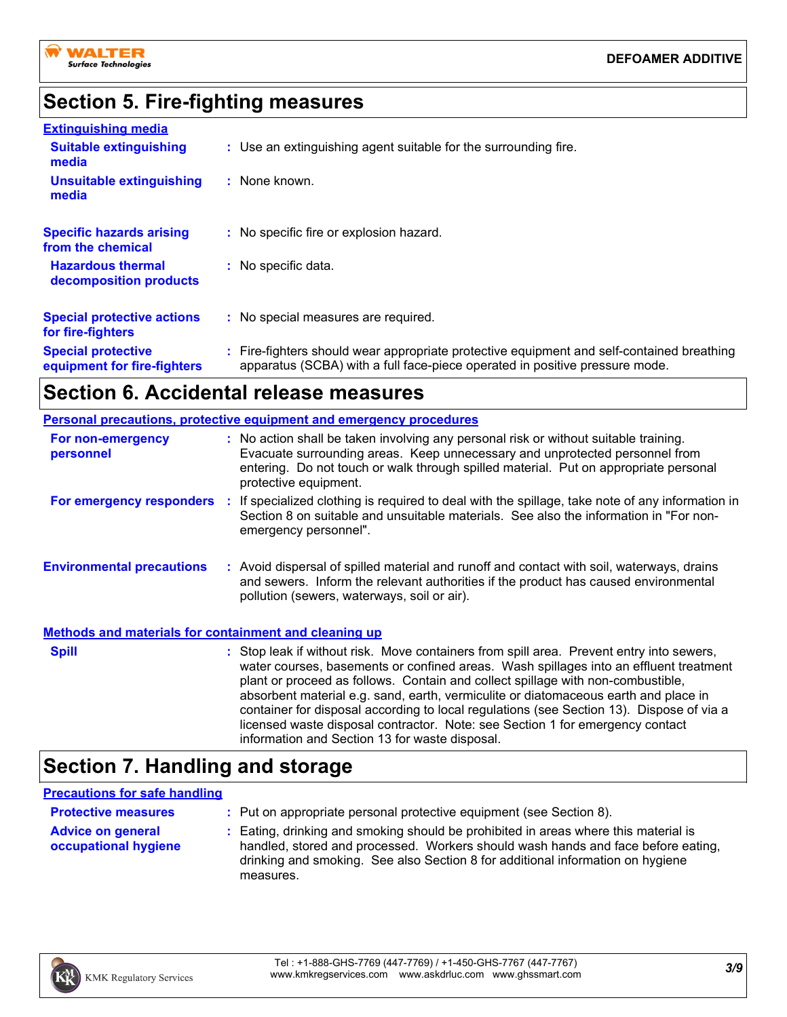

### **Section 5. Fire-fighting measures**

| <b>Extinguishing media</b>                               |                                                                                                                                                                          |
|----------------------------------------------------------|--------------------------------------------------------------------------------------------------------------------------------------------------------------------------|
| <b>Suitable extinguishing</b><br>media                   | : Use an extinguishing agent suitable for the surrounding fire.                                                                                                          |
| <b>Unsuitable extinguishing</b><br>media                 | $:$ None known.                                                                                                                                                          |
| <b>Specific hazards arising</b><br>from the chemical     | : No specific fire or explosion hazard.                                                                                                                                  |
| <b>Hazardous thermal</b><br>decomposition products       | : No specific data.                                                                                                                                                      |
| <b>Special protective actions</b><br>for fire-fighters   | : No special measures are required.                                                                                                                                      |
| <b>Special protective</b><br>equipment for fire-fighters | : Fire-fighters should wear appropriate protective equipment and self-contained breathing<br>apparatus (SCBA) with a full face-piece operated in positive pressure mode. |

# **Section 6. Accidental release measures**

|                                                              | <b>Personal precautions, protective equipment and emergency procedures</b>                                                                                                                                                                                                                                                                                                                                                                                                                                                                                                                 |
|--------------------------------------------------------------|--------------------------------------------------------------------------------------------------------------------------------------------------------------------------------------------------------------------------------------------------------------------------------------------------------------------------------------------------------------------------------------------------------------------------------------------------------------------------------------------------------------------------------------------------------------------------------------------|
| For non-emergency<br>personnel                               | : No action shall be taken involving any personal risk or without suitable training.<br>Evacuate surrounding areas. Keep unnecessary and unprotected personnel from<br>entering. Do not touch or walk through spilled material. Put on appropriate personal<br>protective equipment.                                                                                                                                                                                                                                                                                                       |
|                                                              | For emergency responders : If specialized clothing is required to deal with the spillage, take note of any information in<br>Section 8 on suitable and unsuitable materials. See also the information in "For non-<br>emergency personnel".                                                                                                                                                                                                                                                                                                                                                |
| <b>Environmental precautions</b>                             | : Avoid dispersal of spilled material and runoff and contact with soil, waterways, drains<br>and sewers. Inform the relevant authorities if the product has caused environmental<br>pollution (sewers, waterways, soil or air).                                                                                                                                                                                                                                                                                                                                                            |
| <b>Methods and materials for containment and cleaning up</b> |                                                                                                                                                                                                                                                                                                                                                                                                                                                                                                                                                                                            |
| <b>Spill</b>                                                 | : Stop leak if without risk. Move containers from spill area. Prevent entry into sewers,<br>water courses, basements or confined areas. Wash spillages into an effluent treatment<br>plant or proceed as follows. Contain and collect spillage with non-combustible,<br>absorbent material e.g. sand, earth, vermiculite or diatomaceous earth and place in<br>container for disposal according to local regulations (see Section 13). Dispose of via a<br>licensed waste disposal contractor. Note: see Section 1 for emergency contact<br>information and Section 13 for waste disposal. |

# **Section 7. Handling and storage**

### **Precautions for safe handling**

| <b>Protective measures</b>                       | : Put on appropriate personal protective equipment (see Section 8).                                                                                                                                                                                                    |
|--------------------------------------------------|------------------------------------------------------------------------------------------------------------------------------------------------------------------------------------------------------------------------------------------------------------------------|
| <b>Advice on general</b><br>occupational hygiene | : Eating, drinking and smoking should be prohibited in areas where this material is<br>handled, stored and processed. Workers should wash hands and face before eating,<br>drinking and smoking. See also Section 8 for additional information on hygiene<br>measures. |

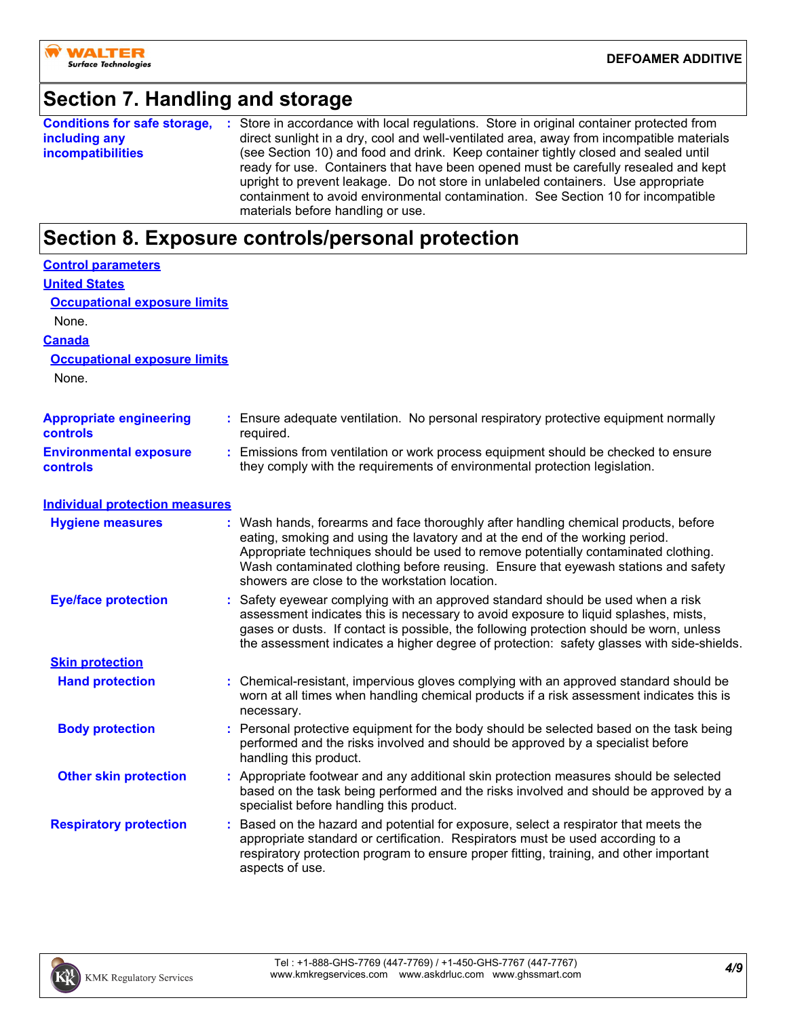# **Section 7. Handling and storage**

|                          | <b>Conditions for safe storage, :</b> Store in accordance with local regulations. Store in original container protected from |
|--------------------------|------------------------------------------------------------------------------------------------------------------------------|
| including any            | direct sunlight in a dry, cool and well-ventilated area, away from incompatible materials                                    |
| <i>incompatibilities</i> | (see Section 10) and food and drink. Keep container tightly closed and sealed until                                          |
|                          | ready for use. Containers that have been opened must be carefully resealed and kept                                          |
|                          | upright to prevent leakage. Do not store in unlabeled containers. Use appropriate                                            |
|                          | containment to avoid environmental contamination. See Section 10 for incompatible                                            |
|                          | materials before handling or use.                                                                                            |

# **Section 8. Exposure controls/personal protection**

| <b>Control parameters</b>                         |                                                                                                                                                                                                                                                                                                                                                                                                 |
|---------------------------------------------------|-------------------------------------------------------------------------------------------------------------------------------------------------------------------------------------------------------------------------------------------------------------------------------------------------------------------------------------------------------------------------------------------------|
| <b>United States</b>                              |                                                                                                                                                                                                                                                                                                                                                                                                 |
| <b>Occupational exposure limits</b>               |                                                                                                                                                                                                                                                                                                                                                                                                 |
| None.                                             |                                                                                                                                                                                                                                                                                                                                                                                                 |
| <b>Canada</b>                                     |                                                                                                                                                                                                                                                                                                                                                                                                 |
| <b>Occupational exposure limits</b>               |                                                                                                                                                                                                                                                                                                                                                                                                 |
| None.                                             |                                                                                                                                                                                                                                                                                                                                                                                                 |
| <b>Appropriate engineering</b><br><b>controls</b> | Ensure adequate ventilation. No personal respiratory protective equipment normally<br>required.                                                                                                                                                                                                                                                                                                 |
| <b>Environmental exposure</b><br><b>controls</b>  | : Emissions from ventilation or work process equipment should be checked to ensure<br>they comply with the requirements of environmental protection legislation.                                                                                                                                                                                                                                |
| <b>Individual protection measures</b>             |                                                                                                                                                                                                                                                                                                                                                                                                 |
| <b>Hygiene measures</b>                           | Wash hands, forearms and face thoroughly after handling chemical products, before<br>eating, smoking and using the lavatory and at the end of the working period.<br>Appropriate techniques should be used to remove potentially contaminated clothing.<br>Wash contaminated clothing before reusing. Ensure that eyewash stations and safety<br>showers are close to the workstation location. |
| <b>Eye/face protection</b>                        | Safety eyewear complying with an approved standard should be used when a risk<br>assessment indicates this is necessary to avoid exposure to liquid splashes, mists,<br>gases or dusts. If contact is possible, the following protection should be worn, unless<br>the assessment indicates a higher degree of protection: safety glasses with side-shields.                                    |
| <b>Skin protection</b>                            |                                                                                                                                                                                                                                                                                                                                                                                                 |
| <b>Hand protection</b>                            | Chemical-resistant, impervious gloves complying with an approved standard should be<br>worn at all times when handling chemical products if a risk assessment indicates this is<br>necessary.                                                                                                                                                                                                   |
| <b>Body protection</b>                            | Personal protective equipment for the body should be selected based on the task being<br>performed and the risks involved and should be approved by a specialist before<br>handling this product.                                                                                                                                                                                               |
| <b>Other skin protection</b>                      | : Appropriate footwear and any additional skin protection measures should be selected<br>based on the task being performed and the risks involved and should be approved by a<br>specialist before handling this product.                                                                                                                                                                       |
| <b>Respiratory protection</b>                     | Based on the hazard and potential for exposure, select a respirator that meets the<br>÷<br>appropriate standard or certification. Respirators must be used according to a<br>respiratory protection program to ensure proper fitting, training, and other important<br>aspects of use.                                                                                                          |

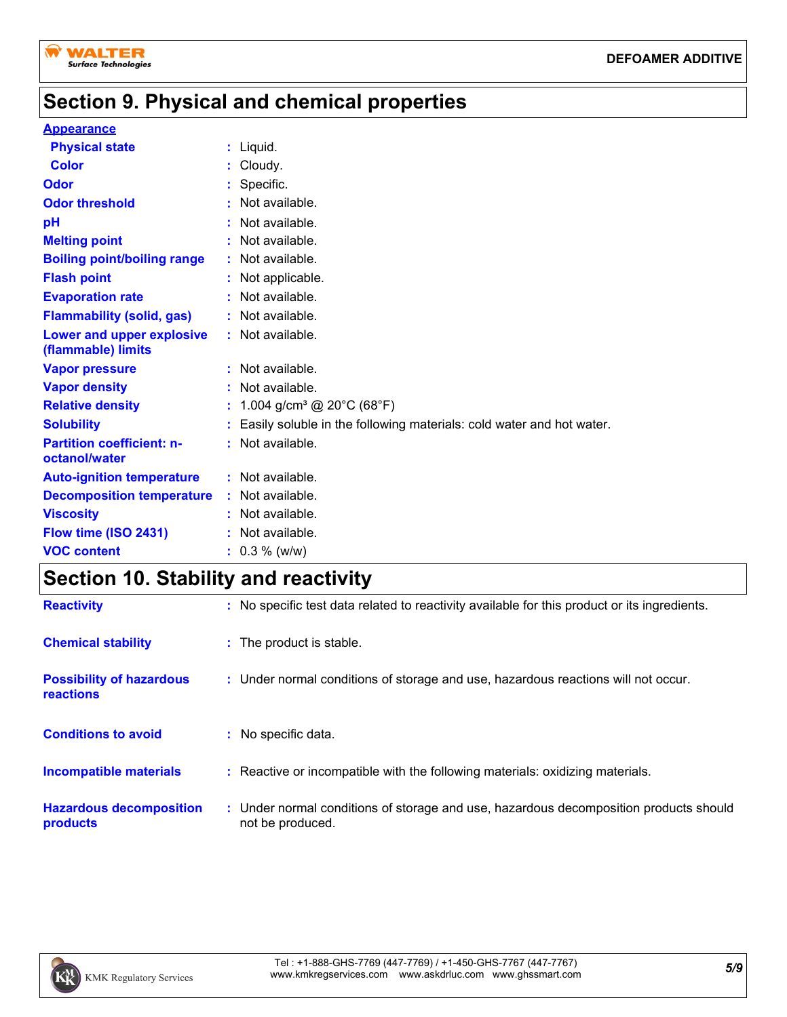

# **Section 9. Physical and chemical properties**

#### **Appearance**

| <b>Physical state</b>                             | : Liquid.                                                            |
|---------------------------------------------------|----------------------------------------------------------------------|
| <b>Color</b>                                      | Cloudy.                                                              |
| Odor                                              | : Specific.                                                          |
| <b>Odor threshold</b>                             | : Not available.                                                     |
| pH                                                | $:$ Not available.                                                   |
| <b>Melting point</b>                              | $:$ Not available.                                                   |
| <b>Boiling point/boiling range</b>                | : Not available.                                                     |
| <b>Flash point</b>                                | : Not applicable.                                                    |
| <b>Evaporation rate</b>                           | $:$ Not available.                                                   |
| <b>Flammability (solid, gas)</b>                  | : Not available.                                                     |
| Lower and upper explosive<br>(flammable) limits   | : Not available.                                                     |
| <b>Vapor pressure</b>                             | : Not available.                                                     |
| <b>Vapor density</b>                              | : Not available.                                                     |
| <b>Relative density</b>                           | : $1.004$ g/cm <sup>3</sup> @ 20°C (68°F)                            |
| <b>Solubility</b>                                 | Easily soluble in the following materials: cold water and hot water. |
| <b>Partition coefficient: n-</b><br>octanol/water | : Not available.                                                     |
| <b>Auto-ignition temperature</b>                  | : Not available.                                                     |
| <b>Decomposition temperature</b>                  | : Not available.                                                     |
| <b>Viscosity</b>                                  | : Not available.                                                     |
| Flow time (ISO 2431)                              | $:$ Not available.                                                   |
| <b>VOC content</b>                                | $: 0.3 \%$ (w/w)                                                     |

# **Section 10. Stability and reactivity**

| <b>Reactivity</b>                                   | : No specific test data related to reactivity available for this product or its ingredients.              |
|-----------------------------------------------------|-----------------------------------------------------------------------------------------------------------|
| <b>Chemical stability</b>                           | : The product is stable.                                                                                  |
| <b>Possibility of hazardous</b><br><b>reactions</b> | : Under normal conditions of storage and use, hazardous reactions will not occur.                         |
| <b>Conditions to avoid</b>                          | : No specific data.                                                                                       |
| <b>Incompatible materials</b>                       | : Reactive or incompatible with the following materials: oxidizing materials.                             |
| <b>Hazardous decomposition</b><br>products          | : Under normal conditions of storage and use, hazardous decomposition products should<br>not be produced. |

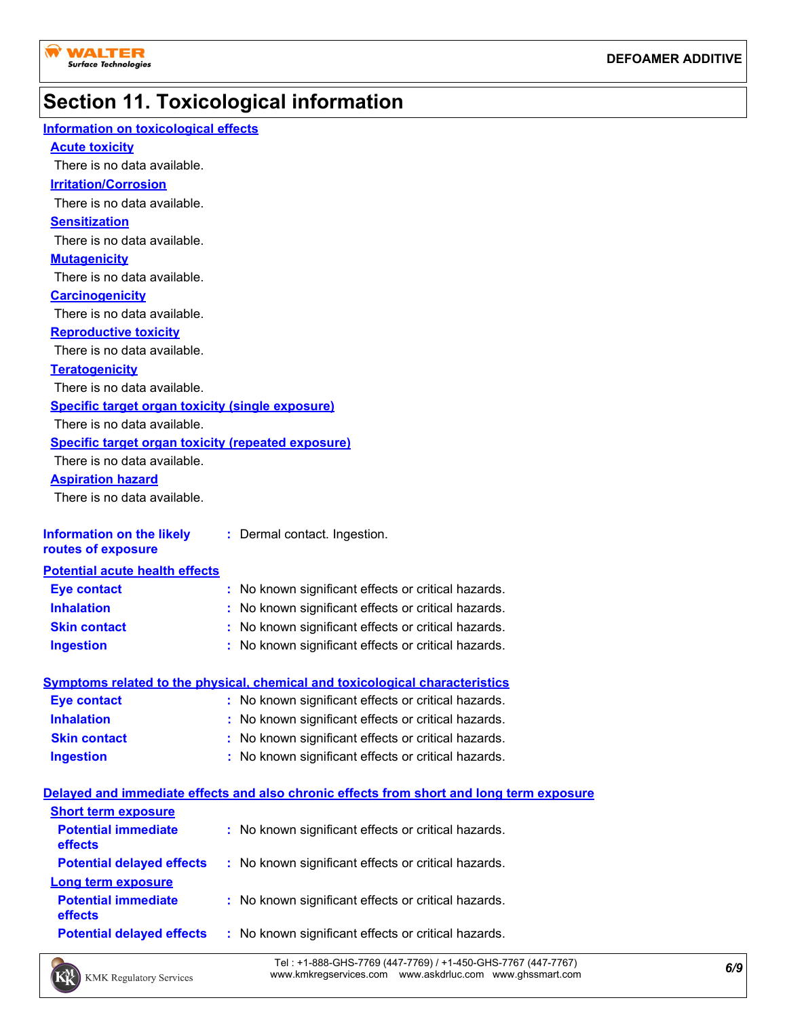# **Section 11. Toxicological information**

| <b>Information on toxicological effects</b>               |                                                                                          |
|-----------------------------------------------------------|------------------------------------------------------------------------------------------|
| <b>Acute toxicity</b>                                     |                                                                                          |
| There is no data available.                               |                                                                                          |
| <b>Irritation/Corrosion</b>                               |                                                                                          |
| There is no data available.                               |                                                                                          |
| <b>Sensitization</b>                                      |                                                                                          |
| There is no data available.                               |                                                                                          |
| <b>Mutagenicity</b>                                       |                                                                                          |
| There is no data available.                               |                                                                                          |
| <b>Carcinogenicity</b>                                    |                                                                                          |
| There is no data available.                               |                                                                                          |
| <b>Reproductive toxicity</b>                              |                                                                                          |
| There is no data available.                               |                                                                                          |
| <b>Teratogenicity</b>                                     |                                                                                          |
| There is no data available.                               |                                                                                          |
| <b>Specific target organ toxicity (single exposure)</b>   |                                                                                          |
| There is no data available.                               |                                                                                          |
| <b>Specific target organ toxicity (repeated exposure)</b> |                                                                                          |
| There is no data available.                               |                                                                                          |
| <b>Aspiration hazard</b>                                  |                                                                                          |
| There is no data available.                               |                                                                                          |
|                                                           |                                                                                          |
| <b>Information on the likely</b><br>routes of exposure    | : Dermal contact. Ingestion.                                                             |
| <b>Potential acute health effects</b>                     |                                                                                          |
| <b>Eye contact</b>                                        | No known significant effects or critical hazards.<br>÷.                                  |
| <b>Inhalation</b>                                         | : No known significant effects or critical hazards.                                      |
| <b>Skin contact</b>                                       | No known significant effects or critical hazards.<br>t.                                  |
| <b>Ingestion</b>                                          | No known significant effects or critical hazards.                                        |
|                                                           |                                                                                          |
|                                                           | <b>Symptoms related to the physical, chemical and toxicological characteristics</b>      |
| <b>Eye contact</b>                                        | : No known significant effects or critical hazards.                                      |
| <b>Inhalation</b>                                         | No known significant effects or critical hazards.                                        |
| <b>Skin contact</b>                                       | No known significant effects or critical hazards.                                        |
| <b>Ingestion</b>                                          | : No known significant effects or critical hazards.                                      |
|                                                           | Delayed and immediate effects and also chronic effects from short and long term exposure |
| <b>Short term exposure</b>                                |                                                                                          |
| <b>Potential immediate</b>                                | : No known significant effects or critical hazards.                                      |
| effects                                                   |                                                                                          |
| <b>Potential delayed effects</b>                          | : No known significant effects or critical hazards.                                      |
| <b>Long term exposure</b>                                 |                                                                                          |
| <b>Potential immediate</b>                                | : No known significant effects or critical hazards.                                      |
| effects                                                   |                                                                                          |
| <b>Potential delayed effects</b>                          | No known significant effects or critical hazards.<br>t.                                  |
|                                                           |                                                                                          |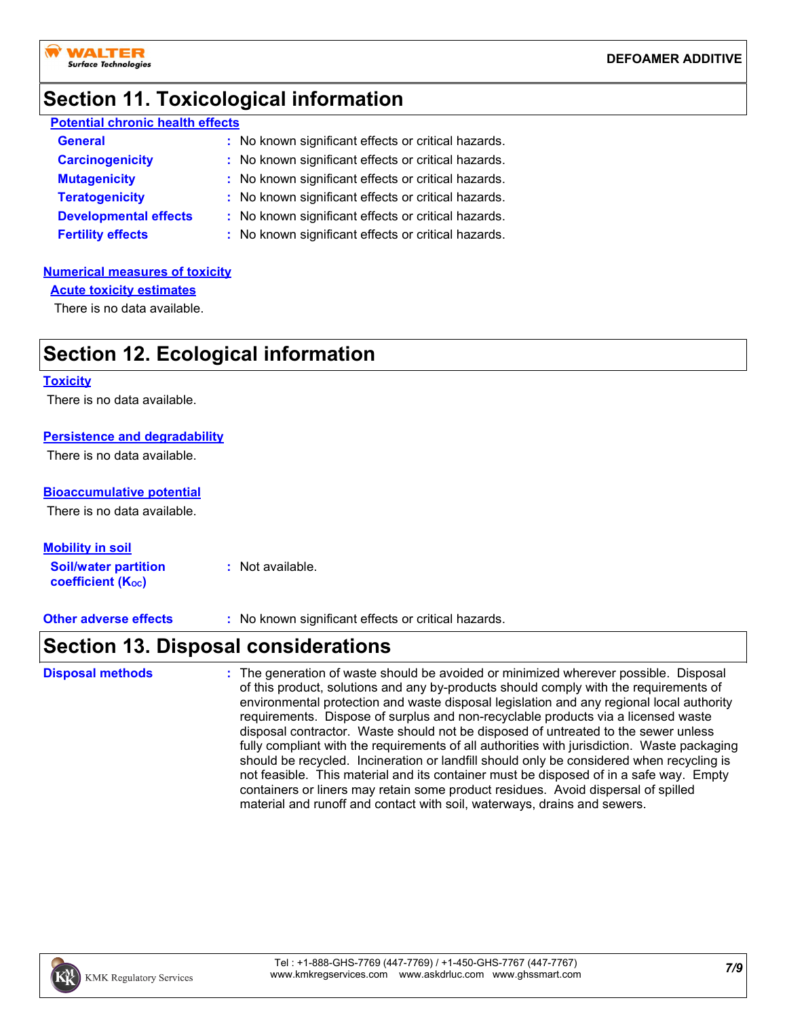

### **Section 11. Toxicological information**

| <b>Potential chronic health effects</b> |                                                     |  |  |  |
|-----------------------------------------|-----------------------------------------------------|--|--|--|
| <b>General</b>                          | : No known significant effects or critical hazards. |  |  |  |
| <b>Carcinogenicity</b>                  | : No known significant effects or critical hazards. |  |  |  |
| <b>Mutagenicity</b>                     | : No known significant effects or critical hazards. |  |  |  |
| <b>Teratogenicity</b>                   | : No known significant effects or critical hazards. |  |  |  |
| <b>Developmental effects</b>            | : No known significant effects or critical hazards. |  |  |  |
| <b>Fertility effects</b>                | : No known significant effects or critical hazards. |  |  |  |

#### **Numerical measures of toxicity**

**Acute toxicity estimates**

There is no data available.

### **Section 12. Ecological information**

#### **Toxicity**

There is no data available.

### **Persistence and degradability**

There is no data available.

### **Bioaccumulative potential**

There is no data available.

**Soil/water partition coefficient (KOC) :** Not available. **Mobility in soil**

**Other adverse effects** : No known significant effects or critical hazards.

### **Section 13. Disposal considerations**

The generation of waste should be avoided or minimized wherever possible. Disposal of this product, solutions and any by-products should comply with the requirements of environmental protection and waste disposal legislation and any regional local authority requirements. Dispose of surplus and non-recyclable products via a licensed waste disposal contractor. Waste should not be disposed of untreated to the sewer unless fully compliant with the requirements of all authorities with jurisdiction. Waste packaging should be recycled. Incineration or landfill should only be considered when recycling is not feasible. This material and its container must be disposed of in a safe way. Empty containers or liners may retain some product residues. Avoid dispersal of spilled material and runoff and contact with soil, waterways, drains and sewers. **Disposal methods :**

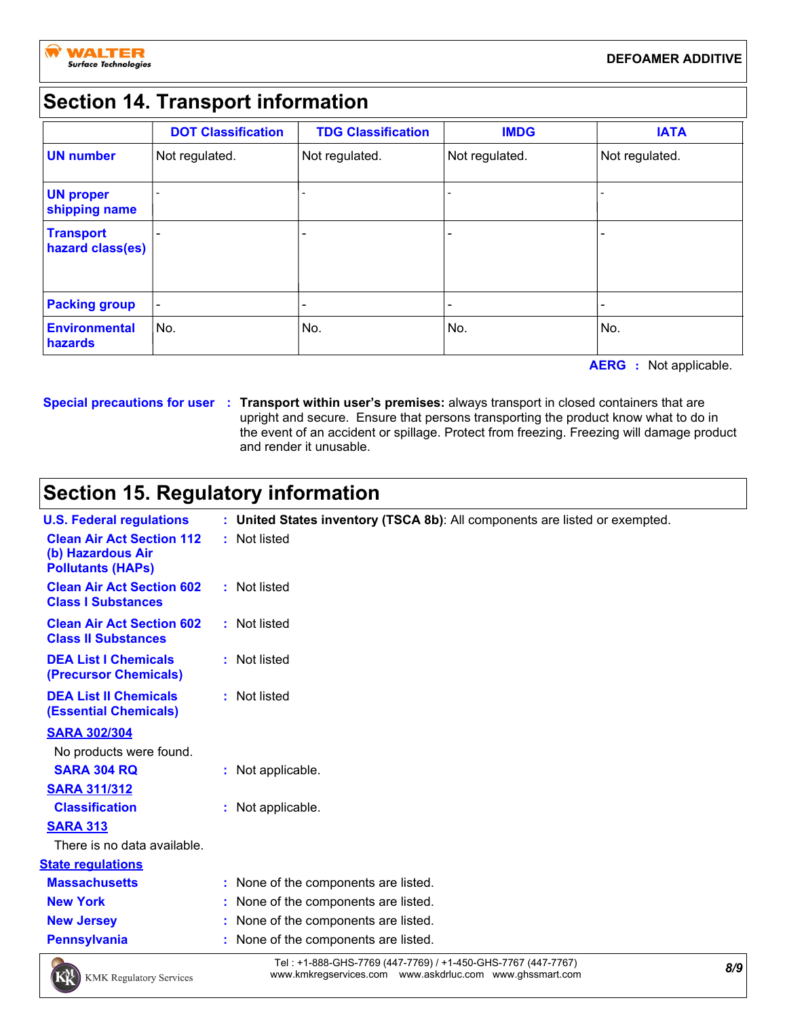# **Section 14. Transport information**

|                                      | <b>DOT Classification</b> | <b>TDG Classification</b> | <b>IMDG</b>    | <b>IATA</b>    |
|--------------------------------------|---------------------------|---------------------------|----------------|----------------|
| <b>UN number</b>                     | Not regulated.            | Not regulated.            | Not regulated. | Not regulated. |
| <b>UN proper</b><br>shipping name    |                           |                           |                |                |
| <b>Transport</b><br>hazard class(es) |                           |                           |                |                |
| <b>Packing group</b>                 |                           |                           |                |                |
| <b>Environmental</b><br>hazards      | No.                       | No.                       | No.            | No.            |

**AERG :** Not applicable.

**Special precautions for user Transport within user's premises:** always transport in closed containers that are **:** upright and secure. Ensure that persons transporting the product know what to do in the event of an accident or spillage. Protect from freezing. Freezing will damage product and render it unusable.

## **Section 15. Regulatory information**

| <b>U.S. Federal regulations</b>                                                   | : United States inventory (TSCA 8b): All components are listed or exempted. |  |
|-----------------------------------------------------------------------------------|-----------------------------------------------------------------------------|--|
| <b>Clean Air Act Section 112</b><br>(b) Hazardous Air<br><b>Pollutants (HAPS)</b> | : Not listed                                                                |  |
| <b>Clean Air Act Section 602</b><br><b>Class I Substances</b>                     | : Not listed                                                                |  |
| <b>Clean Air Act Section 602</b><br><b>Class II Substances</b>                    | : Not listed                                                                |  |
| <b>DEA List I Chemicals</b><br>(Precursor Chemicals)                              | : Not listed                                                                |  |
| <b>DEA List II Chemicals</b><br><b>(Essential Chemicals)</b>                      | : Not listed                                                                |  |
| <b>SARA 302/304</b>                                                               |                                                                             |  |
| No products were found.                                                           |                                                                             |  |
| <b>SARA 304 RQ</b>                                                                | : Not applicable.                                                           |  |
| <b>SARA 311/312</b>                                                               |                                                                             |  |
| <b>Classification</b>                                                             | : Not applicable.                                                           |  |
| <b>SARA 313</b>                                                                   |                                                                             |  |
| There is no data available.                                                       |                                                                             |  |
| <b>State regulations</b>                                                          |                                                                             |  |
| <b>Massachusetts</b>                                                              | : None of the components are listed.                                        |  |
| <b>New York</b>                                                                   | : None of the components are listed.                                        |  |
| <b>New Jersey</b>                                                                 | : None of the components are listed.                                        |  |
| <b>Pennsylvania</b>                                                               | : None of the components are listed.                                        |  |
|                                                                                   |                                                                             |  |



*8/9* Tel : +1-888-GHS-7769 (447-7769) / +1-450-GHS-7767 (447-7767) www.kmkregservices.com www.askdrluc.com www.ghssmart.com